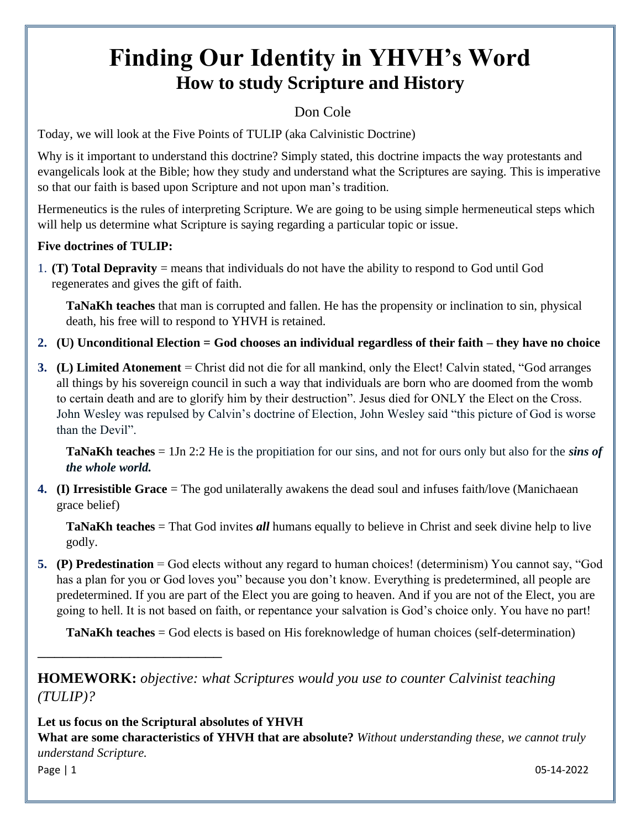# **Finding Our Identity in YHVH's Word How to study Scripture and History**

# Don Cole

Today, we will look at the Five Points of TULIP (aka Calvinistic Doctrine)

Why is it important to understand this doctrine? Simply stated, this doctrine impacts the way protestants and evangelicals look at the Bible; how they study and understand what the Scriptures are saying. This is imperative so that our faith is based upon Scripture and not upon man's tradition.

Hermeneutics is the rules of interpreting Scripture. We are going to be using simple hermeneutical steps which will help us determine what Scripture is saying regarding a particular topic or issue.

### **Five doctrines of TULIP:**

1. **(T) Total Depravity** = means that individuals do not have the ability to respond to God until God regenerates and gives the gift of faith.

**TaNaKh teaches** that man is corrupted and fallen. He has the propensity or inclination to sin, physical death, his free will to respond to YHVH is retained.

- **2. (U) Unconditional Election = God chooses an individual regardless of their faith – they have no choice**
- **3. (L) Limited Atonement** = Christ did not die for all mankind, only the Elect! Calvin stated, "God arranges all things by his sovereign council in such a way that individuals are born who are doomed from the womb to certain death and are to glorify him by their destruction". Jesus died for ONLY the Elect on the Cross. John Wesley was repulsed by Calvin's doctrine of Election, John Wesley said "this picture of God is worse than the Devil".

**TaNaKh teaches** = 1Jn 2:2 He is the propitiation for our sins, and not for ours only but also for the *sins of the whole world.*

**4. (I) Irresistible Grace** = The god unilaterally awakens the dead soul and infuses faith/love (Manichaean grace belief)

**TaNaKh teaches** = That God invites *all* humans equally to believe in Christ and seek divine help to live godly.

**5. (P) Predestination** = God elects without any regard to human choices! (determinism) You cannot say, "God has a plan for you or God loves you" because you don't know. Everything is predetermined, all people are predetermined. If you are part of the Elect you are going to heaven. And if you are not of the Elect, you are going to hell. It is not based on faith, or repentance your salvation is God's choice only. You have no part!

**TaNaKh teaches** = God elects is based on His foreknowledge of human choices (self-determination)

**HOMEWORK:** *objective: what Scriptures would you use to counter Calvinist teaching (TULIP)?*

**Let us focus on the Scriptural absolutes of YHVH What are some characteristics of YHVH that are absolute?** *Without understanding these, we cannot truly understand Scripture.*

\_\_\_\_\_\_\_\_\_\_\_\_\_\_\_\_\_\_\_\_\_\_

Page | 1 05-14-2022